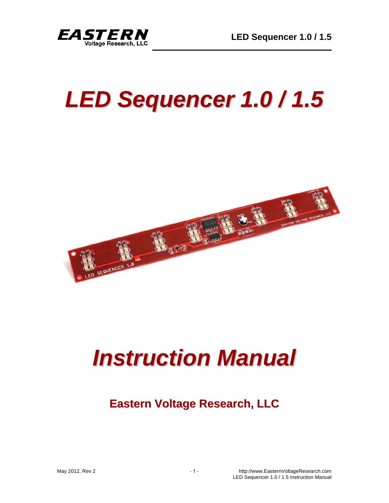

# *LED Sequencer 1.0 / 1.5*



# *Instruction Manual*

# **Eastern Voltage Research, LLC**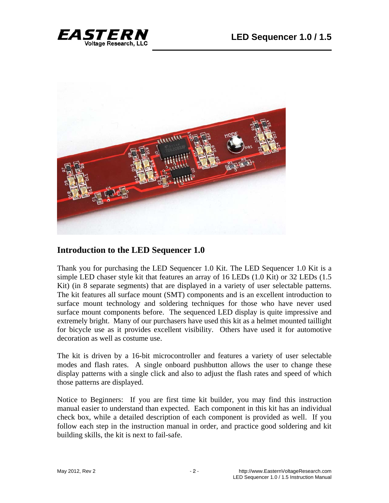



#### **Introduction to the LED Sequencer 1.0**

Thank you for purchasing the LED Sequencer 1.0 Kit. The LED Sequencer 1.0 Kit is a simple LED chaser style kit that features an array of 16 LEDs (1.0 Kit) or 32 LEDs (1.5 Kit) (in 8 separate segments) that are displayed in a variety of user selectable patterns. The kit features all surface mount (SMT) components and is an excellent introduction to surface mount technology and soldering techniques for those who have never used surface mount components before. The sequenced LED display is quite impressive and extremely bright. Many of our purchasers have used this kit as a helmet mounted taillight for bicycle use as it provides excellent visibility. Others have used it for automotive decoration as well as costume use.

The kit is driven by a 16-bit microcontroller and features a variety of user selectable modes and flash rates. A single onboard pushbutton allows the user to change these display patterns with a single click and also to adjust the flash rates and speed of which those patterns are displayed.

Notice to Beginners: If you are first time kit builder, you may find this instruction manual easier to understand than expected. Each component in this kit has an individual check box, while a detailed description of each component is provided as well. If you follow each step in the instruction manual in order, and practice good soldering and kit building skills, the kit is next to fail-safe.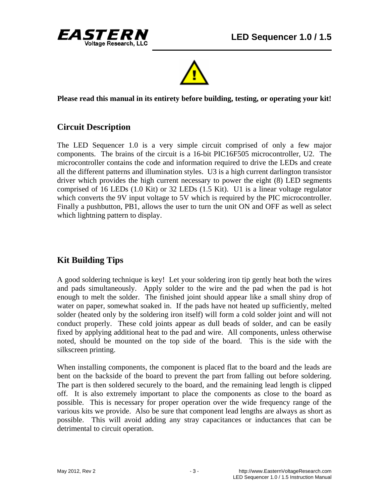



**Please read this manual in its entirety before building, testing, or operating your kit!** 

# **Circuit Description**

The LED Sequencer 1.0 is a very simple circuit comprised of only a few major components. The brains of the circuit is a 16-bit PIC16F505 microcontroller, U2. The microcontroller contains the code and information required to drive the LEDs and create all the different patterns and illumination styles. U3 is a high current darlington transistor driver which provides the high current necessary to power the eight (8) LED segments comprised of 16 LEDs (1.0 Kit) or 32 LEDs (1.5 Kit). U1 is a linear voltage regulator which converts the 9V input voltage to 5V which is required by the PIC microcontroller. Finally a pushbutton, PB1, allows the user to turn the unit ON and OFF as well as select which lightning pattern to display.

# **Kit Building Tips**

A good soldering technique is key! Let your soldering iron tip gently heat both the wires and pads simultaneously. Apply solder to the wire and the pad when the pad is hot enough to melt the solder. The finished joint should appear like a small shiny drop of water on paper, somewhat soaked in. If the pads have not heated up sufficiently, melted solder (heated only by the soldering iron itself) will form a cold solder joint and will not conduct properly. These cold joints appear as dull beads of solder, and can be easily fixed by applying additional heat to the pad and wire. All components, unless otherwise noted, should be mounted on the top side of the board. This is the side with the silkscreen printing.

When installing components, the component is placed flat to the board and the leads are bent on the backside of the board to prevent the part from falling out before soldering. The part is then soldered securely to the board, and the remaining lead length is clipped off. It is also extremely important to place the components as close to the board as possible. This is necessary for proper operation over the wide frequency range of the various kits we provide. Also be sure that component lead lengths are always as short as possible. This will avoid adding any stray capacitances or inductances that can be detrimental to circuit operation.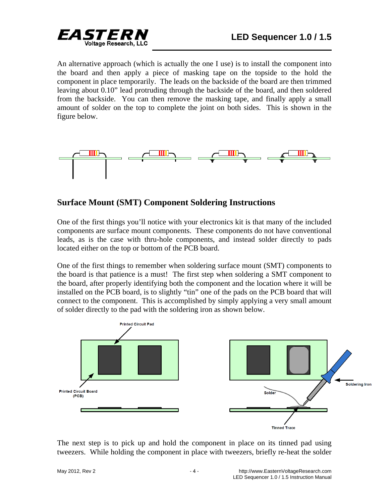

An alternative approach (which is actually the one I use) is to install the component into the board and then apply a piece of masking tape on the topside to the hold the component in place temporarily. The leads on the backside of the board are then trimmed leaving about 0.10" lead protruding through the backside of the board, and then soldered from the backside. You can then remove the masking tape, and finally apply a small amount of solder on the top to complete the joint on both sides. This is shown in the figure below.



### **Surface Mount (SMT) Component Soldering Instructions**

One of the first things you'll notice with your electronics kit is that many of the included components are surface mount components. These components do not have conventional leads, as is the case with thru-hole components, and instead solder directly to pads located either on the top or bottom of the PCB board.

One of the first things to remember when soldering surface mount (SMT) components to the board is that patience is a must! The first step when soldering a SMT component to the board, after properly identifying both the component and the location where it will be installed on the PCB board, is to slightly "tin" one of the pads on the PCB board that will connect to the component. This is accomplished by simply applying a very small amount of solder directly to the pad with the soldering iron as shown below.



The next step is to pick up and hold the component in place on its tinned pad using tweezers. While holding the component in place with tweezers, briefly re-heat the solder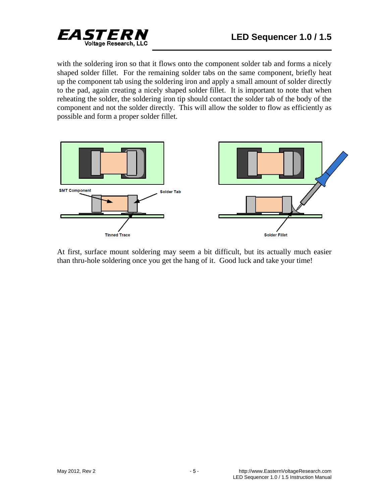

with the soldering iron so that it flows onto the component solder tab and forms a nicely shaped solder fillet. For the remaining solder tabs on the same component, briefly heat up the component tab using the soldering iron and apply a small amount of solder directly to the pad, again creating a nicely shaped solder fillet. It is important to note that when reheating the solder, the soldering iron tip should contact the solder tab of the body of the component and not the solder directly. This will allow the solder to flow as efficiently as possible and form a proper solder fillet.



At first, surface mount soldering may seem a bit difficult, but its actually much easier than thru-hole soldering once you get the hang of it. Good luck and take your time!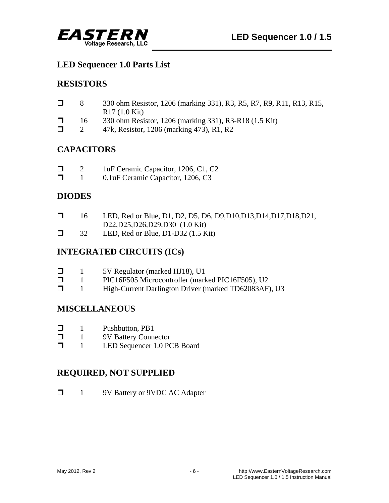

#### **LED Sequencer 1.0 Parts List**

# **RESISTORS**

| $\Box$ | 330 ohm Resistor, 1206 (marking 331), R3, R5, R7, R9, R11, R13, R15, |
|--------|----------------------------------------------------------------------|
|        | $R17(1.0$ Kit)                                                       |
|        |                                                                      |

- □ 16 330 ohm Resistor, 1206 (marking 331), R3-R18 (1.5 Kit)
- $\Box$  2 47k, Resistor, 1206 (marking 473), R1, R2

# **CAPACITORS**

| $\Box$ | 1uF Ceramic Capacitor, 1206, C1, C2 |  |
|--------|-------------------------------------|--|
|        |                                     |  |

**1** 0.1uF Ceramic Capacitor, 1206, C3

# **DIODES**

|  | LED, Red or Blue, D1, D2, D5, D6, D9, D10, D13, D14, D17, D18, D21, |  |
|--|---------------------------------------------------------------------|--|
|  | D22,D25,D26,D29,D30 (1.0 Kit)                                       |  |
|  | I ED Ped or Blue, D1 D32 $(1.5 \text{ K}^2)$                        |  |

 $\Box$  32 LED, Red or Blue, D1-D32 (1.5 Kit)

# **INTEGRATED CIRCUITS (ICs)**

| $\Box$ |  | 5V Regulator (marked HJ18), U1 |
|--------|--|--------------------------------|
|--------|--|--------------------------------|

- 1 PIC16F505 Microcontroller (marked PIC16F505), U2
- 1 High-Current Darlington Driver (marked TD62083AF), U3

# **MISCELLANEOUS**

- $\Box$  1 Pushbutton, PB1
- **1** 9V Battery Connector
- 1 LED Sequencer 1.0 PCB Board

# **REQUIRED, NOT SUPPLIED**

**1** 9V Battery or 9VDC AC Adapter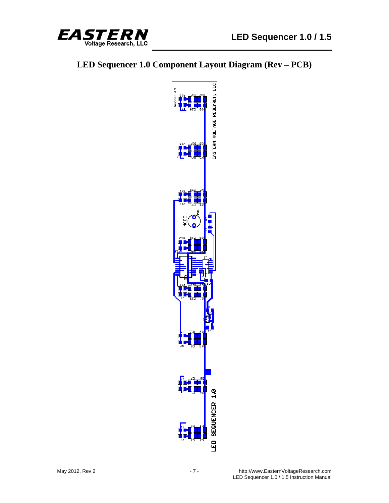

# **LED Sequencer 1.0 Component Layout Diagram (Rev – PCB)**

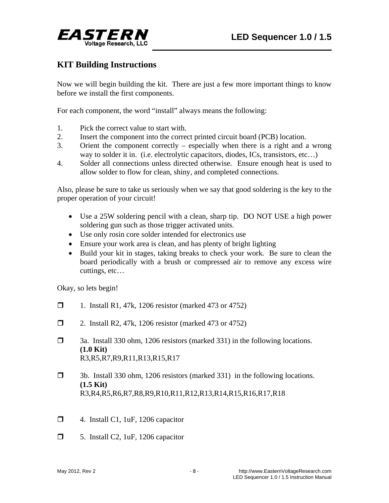

### **KIT Building Instructions**

Now we will begin building the kit. There are just a few more important things to know before we install the first components.

For each component, the word "install" always means the following:

- 1. Pick the correct value to start with.
- 2. Insert the component into the correct printed circuit board (PCB) location.
- 3. Orient the component correctly especially when there is a right and a wrong way to solder it in. (i.e. electrolytic capacitors, diodes, ICs, transistors, etc…)
- 4. Solder all connections unless directed otherwise. Ensure enough heat is used to allow solder to flow for clean, shiny, and completed connections.

Also, please be sure to take us seriously when we say that good soldering is the key to the proper operation of your circuit!

- Use a 25W soldering pencil with a clean, sharp tip. DO NOT USE a high power soldering gun such as those trigger activated units.
- Use only rosin core solder intended for electronics use
- Ensure your work area is clean, and has plenty of bright lighting
- Build your kit in stages, taking breaks to check your work. Be sure to clean the board periodically with a brush or compressed air to remove any excess wire cuttings, etc…

Okay, so lets begin!

- $\Box$  1. Install R1, 47k, 1206 resistor (marked 473 or 4752)
- □ 2. Install R2, 47k, 1206 resistor (marked 473 or 4752)
- 3a. Install 330 ohm, 1206 resistors (marked 331) in the following locations. **(1.0 Kit)** R3,R5,R7,R9,R11,R13,R15,R17
- 3b. Install 330 ohm, 1206 resistors (marked 331) in the following locations. **(1.5 Kit)** R3,R4,R5,R6,R7,R8,R9,R10,R11,R12,R13,R14,R15,R16,R17,R18
- $\Box$  4. Install C1, 1uF, 1206 capacitor
- $\Box$  5. Install C2, 1uF, 1206 capacitor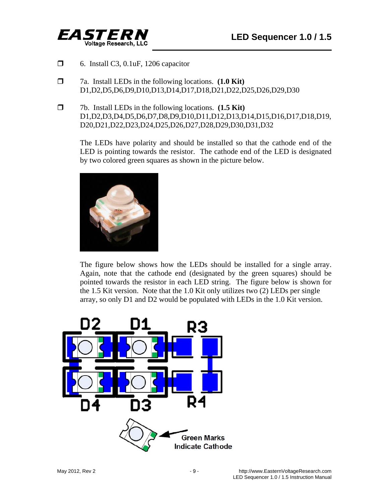

- $\Box$  6. Install C3, 0.1uF, 1206 capacitor
- 7a. Install LEDs in the following locations. **(1.0 Kit)** D1,D2,D5,D6,D9,D10,D13,D14,D17,D18,D21,D22,D25,D26,D29,D30
- 7b. Install LEDs in the following locations. **(1.5 Kit)** D1,D2,D3,D4,D5,D6,D7,D8,D9,D10,D11,D12,D13,D14,D15,D16,D17,D18,D19, D20,D21,D22,D23,D24,D25,D26,D27,D28,D29,D30,D31,D32

 The LEDs have polarity and should be installed so that the cathode end of the LED is pointing towards the resistor. The cathode end of the LED is designated by two colored green squares as shown in the picture below.



 The figure below shows how the LEDs should be installed for a single array. Again, note that the cathode end (designated by the green squares) should be pointed towards the resistor in each LED string. The figure below is shown for the 1.5 Kit version. Note that the 1.0 Kit only utilizes two (2) LEDs per single array, so only D1 and D2 would be populated with LEDs in the 1.0 Kit version.

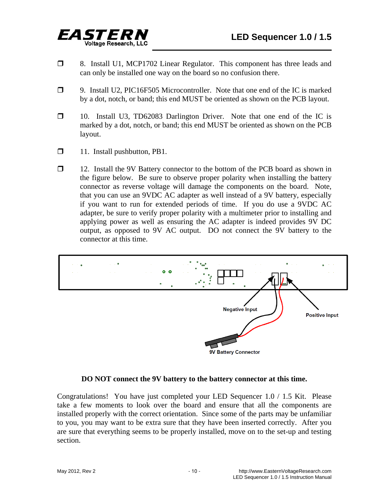

- **1** 8. Install U1, MCP1702 Linear Regulator. This component has three leads and can only be installed one way on the board so no confusion there.
- 9. Install U2, PIC16F505 Microcontroller. Note that one end of the IC is marked by a dot, notch, or band; this end MUST be oriented as shown on the PCB layout.
- 10. Install U3, TD62083 Darlington Driver. Note that one end of the IC is marked by a dot, notch, or band; this end MUST be oriented as shown on the PCB layout.
- $\Box$  11. Install pushbutton, PB1.
- 12. Install the 9V Battery connector to the bottom of the PCB board as shown in the figure below. Be sure to observe proper polarity when installing the battery connector as reverse voltage will damage the components on the board. Note, that you can use an 9VDC AC adapter as well instead of a 9V battery, especially if you want to run for extended periods of time. If you do use a 9VDC AC adapter, be sure to verify proper polarity with a multimeter prior to installing and applying power as well as ensuring the AC adapter is indeed provides 9V DC output, as opposed to 9V AC output. DO not connect the 9V battery to the connector at this time.



#### **DO NOT connect the 9V battery to the battery connector at this time.**

Congratulations! You have just completed your LED Sequencer 1.0 / 1.5 Kit. Please take a few moments to look over the board and ensure that all the components are installed properly with the correct orientation. Since some of the parts may be unfamiliar to you, you may want to be extra sure that they have been inserted correctly. After you are sure that everything seems to be properly installed, move on to the set-up and testing section.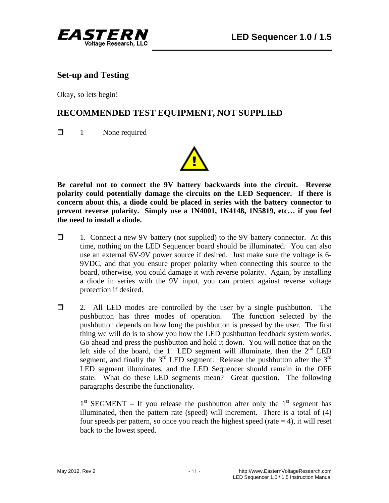

#### **Set-up and Testing**

Okay, so lets begin!

# **RECOMMENDED TEST EQUIPMENT, NOT SUPPLIED**

 $\Box$  1 None required



**Be careful not to connect the 9V battery backwards into the circuit. Reverse polarity could potentially damage the circuits on the LED Sequencer. If there is concern about this, a diode could be placed in series with the battery connector to prevent reverse polarity. Simply use a 1N4001, 1N4148, 1N5819, etc… if you feel the need to install a diode.** 

- $\Box$  1. Connect a new 9V battery (not supplied) to the 9V battery connector. At this time, nothing on the LED Sequencer board should be illuminated. You can also use an external 6V-9V power source if desired. Just make sure the voltage is 6- 9VDC, and that you ensure proper polarity when connecting this source to the board, otherwise, you could damage it with reverse polarity. Again, by installing a diode in series with the 9V input, you can protect against reverse voltage protection if desired.
- $\Box$  2. All LED modes are controlled by the user by a single pushbutton. The pushbutton has three modes of operation. The function selected by the pushbutton depends on how long the pushbutton is pressed by the user. The first thing we will do is to show you how the LED pushbutton feedback system works. Go ahead and press the pushbutton and hold it down. You will notice that on the left side of the board, the  $1<sup>st</sup>$  LED segment will illuminate, then the  $2<sup>nd</sup>$  LED segment, and finally the  $3<sup>rd</sup>$  LED segment. Release the pushbutton after the  $3<sup>rd</sup>$ LED segment illuminates, and the LED Sequencer should remain in the OFF state. What do these LED segments mean? Great question. The following paragraphs describe the functionality.

 $1<sup>st</sup> SEGMENT - If you release the push button after only the 1<sup>st</sup> segment has$ illuminated, then the pattern rate (speed) will increment. There is a total of (4) four speeds per pattern, so once you reach the highest speed (rate  $= 4$ ), it will reset back to the lowest speed.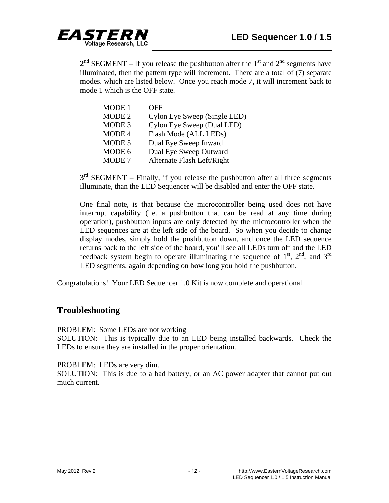

 $2<sup>nd</sup> SEGMENT – If you release the push button after the 1<sup>st</sup> and 2<sup>nd</sup> segments have$ illuminated, then the pattern type will increment. There are a total of (7) separate modes, which are listed below. Once you reach mode 7, it will increment back to mode 1 which is the OFF state.

| MODE 1            | OFF                          |
|-------------------|------------------------------|
| MODE 2            | Cylon Eye Sweep (Single LED) |
| MODE <sub>3</sub> | Cylon Eye Sweep (Dual LED)   |
| MODE 4            | Flash Mode (ALL LEDs)        |
| MODE 5            | Dual Eye Sweep Inward        |
| MODE 6            | Dual Eye Sweep Outward       |
| MODE <sub>7</sub> | Alternate Flash Left/Right   |

 $3<sup>rd</sup>$  SEGMENT – Finally, if you release the pushbutton after all three segments illuminate, than the LED Sequencer will be disabled and enter the OFF state.

 One final note, is that because the microcontroller being used does not have interrupt capability (i.e. a pushbutton that can be read at any time during operation), pushbutton inputs are only detected by the microcontroller when the LED sequences are at the left side of the board. So when you decide to change display modes, simply hold the pushbutton down, and once the LED sequence returns back to the left side of the board, you'll see all LEDs turn off and the LED feedback system begin to operate illuminating the sequence of  $1<sup>st</sup>$ ,  $2<sup>nd</sup>$ , and  $3<sup>rd</sup>$ LED segments, again depending on how long you hold the pushbutton.

Congratulations! Your LED Sequencer 1.0 Kit is now complete and operational.

#### **Troubleshooting**

PROBLEM: Some LEDs are not working

SOLUTION: This is typically due to an LED being installed backwards. Check the LEDs to ensure they are installed in the proper orientation.

PROBLEM: LEDs are very dim.

SOLUTION: This is due to a bad battery, or an AC power adapter that cannot put out much current.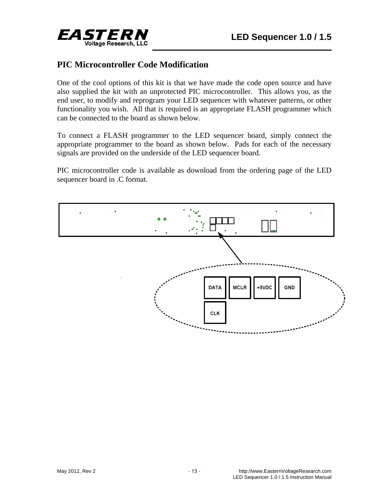

#### **PIC Microcontroller Code Modification**

One of the cool options of this kit is that we have made the code open source and have also supplied the kit with an unprotected PIC microcontroller. This allows you, as the end user, to modify and reprogram your LED sequencer with whatever patterns, or other functionality you wish. All that is required is an appropriate FLASH programmer which can be connected to the board as shown below.

To connect a FLASH programmer to the LED sequencer board, simply connect the appropriate programmer to the board as shown below. Pads for each of the necessary signals are provided on the underside of the LED sequencer board.

PIC microcontroller code is available as download from the ordering page of the LED sequencer board in .C format.